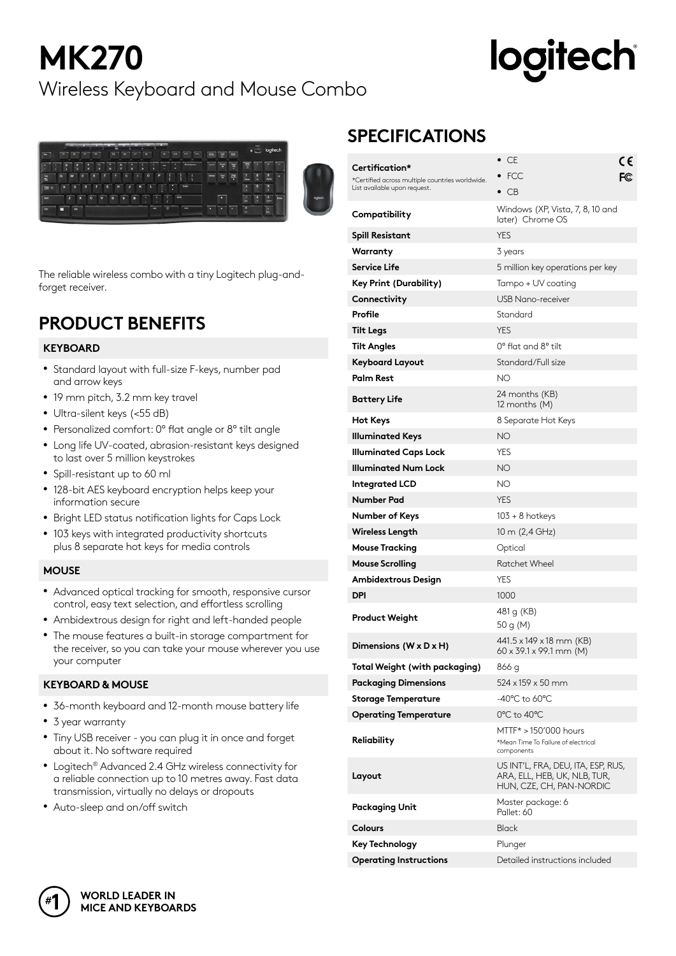## **MK270** Wireless Keyboard and Mouse Combo

# **logitech**



The reliable wireless combo with a tiny Logitech plug-andforget receiver.

### **PRODUCT BENEFITS**

#### **KEYBOARD**

- Standard layout with full-size F-keys, number pad and arrow keys
- 19 mm pitch, 3.2 mm key travel
- Ultra-silent keys (<55 dB)
- Personalized comfort: 0° flat angle or 8° tilt angle
- Long life UV-coated, abrasion-resistant keys designed to last over 5 million keystrokes
- Spill-resistant up to 60 ml
- 128-bit AES keyboard encryption helps keep your information secure
- Bright LED status notification lights for Caps Lock
- 103 keys with integrated productivity shortcuts plus 8 separate hot keys for media controls

#### **MOUSE**

- Advanced optical tracking for smooth, responsive cursor control, easy text selection, and effortless scrolling
- Ambidextrous design for right and left-handed people
- The mouse features a built-in storage compartment for the receiver, so you can take your mouse wherever you use your computer

#### **KEYBOARD & MOUSE**

- 36-month keyboard and 12-month mouse battery life
- 3 year warranty
- Tiny USB receiver you can plug it in once and forget about it. No software required
- Logitech® Advanced 2.4 GHz wireless connectivity for a reliable connection up to 10 metres away. Fast data transmission, virtually no delays or dropouts
- Auto-sleep and on/off switch

### **SPECIFICATIONS**

|                                                                                 | $\bullet$ CE                                                                                   | C٤ |  |  |
|---------------------------------------------------------------------------------|------------------------------------------------------------------------------------------------|----|--|--|
| Certification*                                                                  | $\bullet$ FCC                                                                                  | FC |  |  |
| *Certified across multiple countries worldwide.<br>List available upon request. | $\bullet$ CB                                                                                   |    |  |  |
|                                                                                 |                                                                                                |    |  |  |
| Compatibility                                                                   | Windows (XP, Vista, 7, 8, 10 and<br>later) Chrome OS                                           |    |  |  |
| <b>Spill Resistant</b>                                                          | <b>YES</b>                                                                                     |    |  |  |
| Warranty                                                                        | 3 years                                                                                        |    |  |  |
| <b>Service Life</b>                                                             | 5 million key operations per key                                                               |    |  |  |
| Key Print (Durability)                                                          | Tampo + UV coating                                                                             |    |  |  |
| Connectivity                                                                    | USB Nano-receiver                                                                              |    |  |  |
| Profile                                                                         | Standard                                                                                       |    |  |  |
| <b>Tilt Legs</b>                                                                | <b>YES</b>                                                                                     |    |  |  |
| Tilt Angles                                                                     | $0^{\circ}$ flat and $8^{\circ}$ tilt                                                          |    |  |  |
| Keyboard Layout                                                                 | Standard/Full size                                                                             |    |  |  |
| <b>Palm Rest</b>                                                                | NO                                                                                             |    |  |  |
| <b>Battery Life</b>                                                             | 24 months (KB)<br>12 months (M)                                                                |    |  |  |
| <b>Hot Keys</b>                                                                 | 8 Separate Hot Keys                                                                            |    |  |  |
| <b>Illuminated Keys</b>                                                         | ΝO                                                                                             |    |  |  |
| <b>Illuminated Caps Lock</b>                                                    | YES                                                                                            |    |  |  |
| <b>Illuminated Num Lock</b>                                                     | NΟ                                                                                             |    |  |  |
| Integrated LCD                                                                  | NΟ                                                                                             |    |  |  |
| Number Pad                                                                      | YES                                                                                            |    |  |  |
| Number of Keys                                                                  | $103 + 8$ hotkeys                                                                              |    |  |  |
| Wireless Length                                                                 | 10 m (2,4 GHz)                                                                                 |    |  |  |
| <b>Mouse Tracking</b>                                                           | Optical                                                                                        |    |  |  |
| <b>Mouse Scrolling</b>                                                          | <b>Ratchet Wheel</b>                                                                           |    |  |  |
| Ambidextrous Design                                                             | YES                                                                                            |    |  |  |
| <b>DPI</b>                                                                      | 1000                                                                                           |    |  |  |
| Product Weight                                                                  | 481 g (KB)                                                                                     |    |  |  |
|                                                                                 | 50 g (M)                                                                                       |    |  |  |
| Dimensions (W $\times$ D $\times$ H)                                            | 441.5 x 149 x 18 mm (KB)<br>$60 \times 39.1 \times 99.1$ mm (M)                                |    |  |  |
| <b>Total Weight (with packaging)</b>                                            | 866 g                                                                                          |    |  |  |
| <b>Packaging Dimensions</b>                                                     | 524 x 159 x 50 mm                                                                              |    |  |  |
| <b>Storage Temperature</b>                                                      | -40°C to 60°C                                                                                  |    |  |  |
| <b>Operating Temperature</b>                                                    | $0^{\circ}$ C to 40 $^{\circ}$ C                                                               |    |  |  |
| Reliability                                                                     | MTTF* > 150'000 hours<br>*Mean Time To Failure of electrical<br>components                     |    |  |  |
| Layout                                                                          | US INT'L, FRA, DEU, ITA, ESP, RUS,<br>ARA, ELL, HEB, UK, NLB, TUR,<br>HUN, CZE, CH, PAN-NORDIC |    |  |  |
| <b>Packaging Unit</b>                                                           | Master package: 6<br>Pallet: 60                                                                |    |  |  |
| <b>Colours</b>                                                                  | <b>Black</b>                                                                                   |    |  |  |
| <b>Key Technology</b>                                                           | Plunger                                                                                        |    |  |  |
| <b>Operating Instructions</b>                                                   | Detailed instructions included                                                                 |    |  |  |